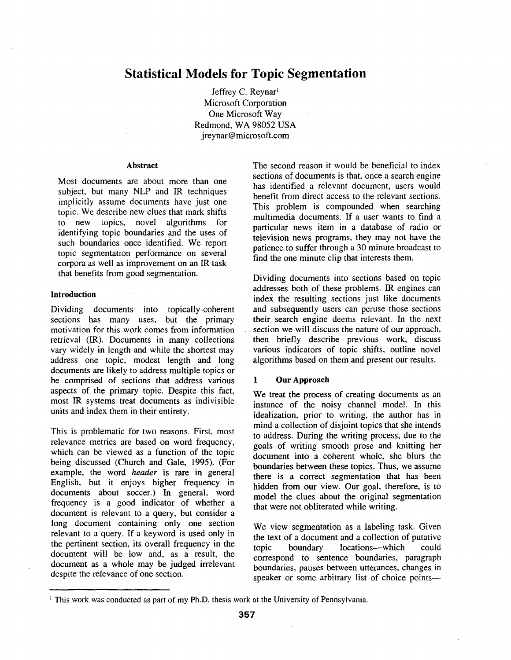# **Statistical Models for Topic Segmentation**

Jeffrey C. Reynar<sup>1</sup> Microsoft Corporation One Microsoft Way Redmond, WA 98052 USA jreynar@microsoft.com

#### **Abstract**

Most documents are about more than one subject, but many NLP and IR techniques implicitly assume documents have just one topic. We describe new clues that mark shifts to new topics, novel algorithms for identifying topic boundaries and the uses of such boundaries once identified. We report topic segmentation performance on several corpora as well as improvement on an IR task that benefits from good segmentation.

### **Introduction**

Dividing documents into topically-coherent sections has many uses, but the primary motivation for this work comes from information retrieval (IR). Documents in many collections vary widely in length and while the shortest may address one topic, modest length and long documents are likely to address multiple topics or be comprised of sections that address various aspects of the primary topic. Despite this fact, most IR systems treat documents as indivisible units and index them in their entirety.

This is problematic for two reasons. First, most relevance metrics are based on word frequency, which can be viewed as a function of the topic being discussed (Church and Gale, 1995). (For example, the word *header* is rare in general English, but it enjoys higher frequency in documents about soccer.) In general, word frequency is a good indicator of whether a document is relevant to a query, but consider a long document containing only one section relevant to a query. If a keyword is used only in the pertinent section, its overall frequency in the document will be low and, as a result, the document as a whole may be judged irrelevant despite the relevance of one section.

The second reason it would be beneficial to index sections of documents is that, once a search engine has identified a relevant document, users would benefit from direct access to the relevant sections. This problem is compounded when searching multimedia documents. If a user wants to find a particular news item in a database of radio or television news programs, they may not have the patience to suffer through a 30 minute broadcast to find the one minute clip that interests them.

Dividing documents into sections based on topic addresses both of these problems. IR engines can index the resulting sections just like documents and subsequently users can peruse those sections their search engine deems relevant. In the next section we will discuss the nature of our approach, then briefly describe previous work, discuss various indicators of topic shifts, outline novel algorithms based on them and present our results.

# **I Our Approach**

We treat the process of creating documents as an instance of the noisy channel model. In this idealization, prior to writing, the author has in mind a collection of disjoint topics that she intends to address. During the writing process, due to the goals of writing smooth prose and knitting her document into a coherent whole, she blurs the boundaries between these topics. Thus, we assume there is a correct segmentation that has been hidden from our view. Our goal, therefore, is to model the clues about the original segmentation that were not obliterated while writing.

We view segmentation as a labeling task. Given the text of a document and a collection of putative topic boundary locations--which could correspond to sentence boundaries, paragraph boundaries, pauses between utterances, changes in speaker or some arbitrary list of choice points-

<sup>&</sup>lt;sup>1</sup> This work was conducted as part of my Ph.D. thesis work at the University of Pennsylvania.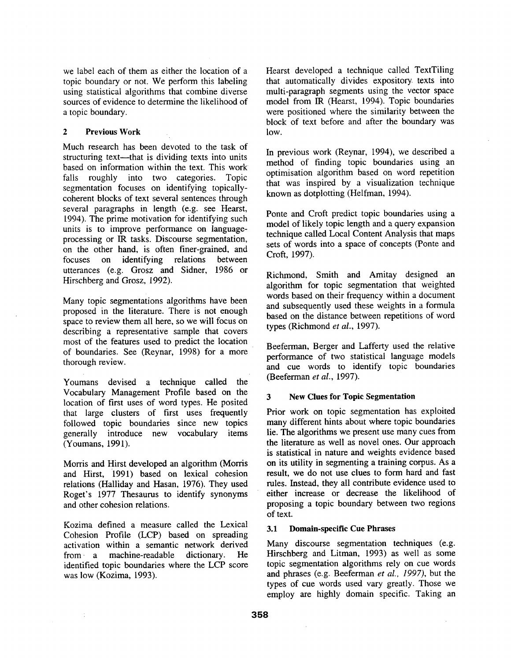we label each of them as either the location of a topic boundary or not. We perform this labeling using statistical algorithms that combine diverse sources of evidence to determine the likelihood of a topic boundary.

# **2 Previous Work**

Much research has been devoted to the task of structuring text—that is dividing texts into units based on information within the text. This work falls roughly into two categories. Topic segmentation focuses on identifying topicallycoherent blocks of text several sentences through several paragraphs in length (e.g. see Hearst, 1994). The prime motivation for identifying such units is to improve performance on languageprocessing or IR tasks. Discourse segmentation, on the other hand, is often finer-grained, and focuses on identifying relations between utterances (e.g. Grosz and Sidner, 1986 or Hirschberg and Grosz, 1992).

Many topic segmentations algorithms have been proposed in the literature. There is not enough space to review them all here, so we will focus on describing a representative sample that covers most of the features used to predict the location of boundaries. See (Reynar, 1998) for a more thorough review.

Youmans devised a technique called **the**  Vocabulary Management Profile based on **the**  location of first uses of word types. He posited that large clusters of first uses frequently followed topic boundaries since new topics generally introduce new vocabulary items (Youmans, 1991).

Morris and Hirst developed an algorithm (Morris and Hirst, 1991) based on lexical cohesion relations (Halliday and Hasan, 1976). They used Roget's 1977 Thesaurus to identify synonyms and other cohesion relations.

Kozima defined a measure called the Lexical Cohesion Profile (LCP) based on spreading activation within a semantic network derived from. a machine-readable dictionary. He identified topic boundaries where the LCP score was low (Kozima, 1993).

Hearst developed a technique called TextTiling that automatically divides expository texts into multi-paragraph segments using the vector space model from IR (Hearst, 1994). Topic boundaries were positioned where the similarity between the block of text before and after the boundary was low.

In previous work (Reynar, 1994), we described a method of finding topic boundaries using an optimisation algorithm based on word repetition that was inspired by a visualization technique known as dotplotting (Helfman, 1994).

Ponte and Croft predict topic boundaries using a model of likely topic length and a query expansion technique called Local Content Analysis that maps sets of words into a space of concepts (Ponte and Croft, 1997).

Richmond, Smith and Amitay designed an algorithm for topic segmentation that weighted words based on their frequency within a document and subsequently used these weights in a formula based on the distance between repetitions of word types (Richmond *et al.,* 1997).

Beeferman, Berger and Lafferty used the relative performance of two statistical language models and cue words to identify topic boundaries (Beeferman *et al.,* 1997).

# **3 New Clues for Topic Segmentation**

Prior work on topic segmentation has exploited many different hints about where topic boundaries lie. The algorithms we present use many cues from **the** literature as well as novel ones. Our approach is statistical in nature and weights evidence based **on** its utility in segmenting a training corpus. **As a**  result, we do not use clues to form hard and fast rules. Instead, they all contribute evidence used to either increase or decrease the likelihood of proposing a topic boundary between two regions of text.

# **3.1 Domain-specific Cue Phrases**

Many discourse segmentation techniques (e.g. Hirschberg and Litman, 1993) as well as some topic segmentation algorithms rely on cue words and phrases (e.g. Beeferman *et al., 1997),* but the types of cue words used vary greatly. Those we employ are highly domain specific. Taking an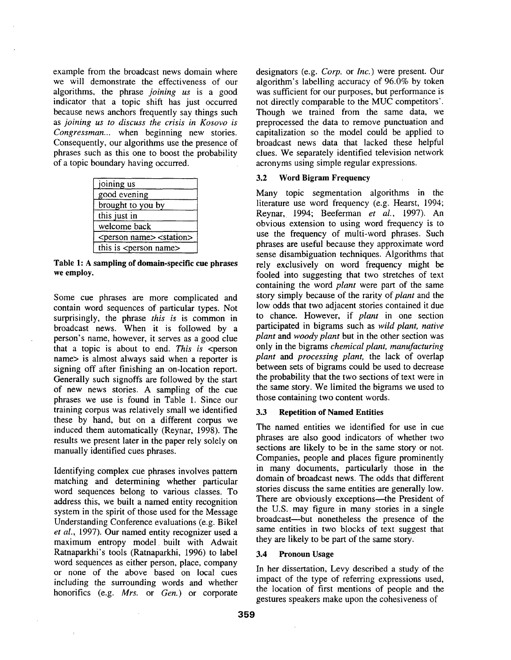example from the broadcast news domain where we will demonstrate the effectiveness of our algorithms, the phrase *joining us* is a good indicator that a topic shift has just occurred because news anchors frequently say things such as *joining us to discuss the crisis in Kosovo is Congressman...* when beginning new stories. Consequently, our algorithms use the presence of phrases such as this one to boost the probability of a topic boundary having occurred.

| joining us                                    |
|-----------------------------------------------|
| good evening                                  |
| brought to you by                             |
| this just in                                  |
| welcome back                                  |
| <person name=""> <station></station></person> |
| this is <person name=""></person>             |

Table 1: A sampling of domain-specific cue **phrases**  we employ.

Some cue phrases are more complicated and contain word sequences of particular types. Not surprisingly, the phrase *this is* is common in broadcast news. When it is followed by a person's name, however, it serves as a good clue that a topic is about to end. This is <person name> is almost always said when a reporter is signing off after finishing an on-location report. Generally such signoffs are followed by the start of new news stories. A sampling of the cue phrases we use is found in Table 1. Since our training corpus was relatively small we identified these by hand, but on a different corpus we induced them automatically (Reynar, 1998). The results we present later in the paper rely solely on manually identified cues phrases.

Identifying complex cue phrases involves pattern matching and determining whether particular word sequences belong to various classes. To address this, we built a named entity recognition system in the spirit of those used for the Message Understanding Conference evaluations (e.g. Bikel *et al.,* 1997). Our named entity recognizer used a maximum entropy model, built with Adwait Ratnaparkhi's tools (Ratnaparkhi, 1996) to label word sequences as either person, place, company or none of the above based on local cues including the surrounding words and whether honorifics (e.g. *Mrs.* or *Gen.)* or corporate designators (e.g. *Corp.* or *Inc.)* were present. Our algorithm's labelling accuracy of 96.0% by token was sufficient for our purposes, but performance is not directly comparable to the MUC competitors'. Though we trained from the same data, we preprocessed the data to remove punctuation and capitalization so the model could be applied to broadcast news data that lacked these helpful clues. We separately identified television network acronyms using simple regular expressions.

### **3.2 Word Bigram Frequency**

Many topic segmentation algorithms in the literature use word frequency (e.g. Hearst, 1994; Reynar, 1994; Beeferman *et al.,* 1997). An obvious extension to using word frequency is to use the frequency of multi-word phrases. Such phrases are useful because they approximate word sense disambiguation techniques. Algorithms that rely exclusively on word frequency might be fooled into suggesting that two stretches of text containing the word *plant* were part of the same story simply because of the rarity of *plant* and the low odds that two adjacent stories contained it due to chance. However, if *plant* in one section participated in bigrams such as *wild plant, native plant* and *woody plant* but in the other section was only in the bigrams *chemical plant, manufacturing plant* and *processing plant,* the lack of overlap between sets of bigrams could be used to decrease the probability that the two sections of text were in the same story. We limited the bigrams we used to those containing two content words.

## **3.3 Repetition of Named Entities**

The named entities we identified for use in cue phrases are also good indicators of whether two sections are likely to be in the same story or not. Companies, people and places figure prominently in many documents, particularly those in the domain of broadcast news. The odds that different stories discuss the same entities are generally low. There are obviously exceptions--- the President of the U.S. may figure in many stories in a single broadcast--but nonetheless the presence of the same entities in two blocks of text suggest that they are likely to be part of the same story.

# 3.4 Pronoun Usage

 $\bar{z}$ 

In her dissertation, Levy described a study of the impact of the type of referring expressions used, the location of first mentions of people and the gestures speakers make upon the cohesiveness of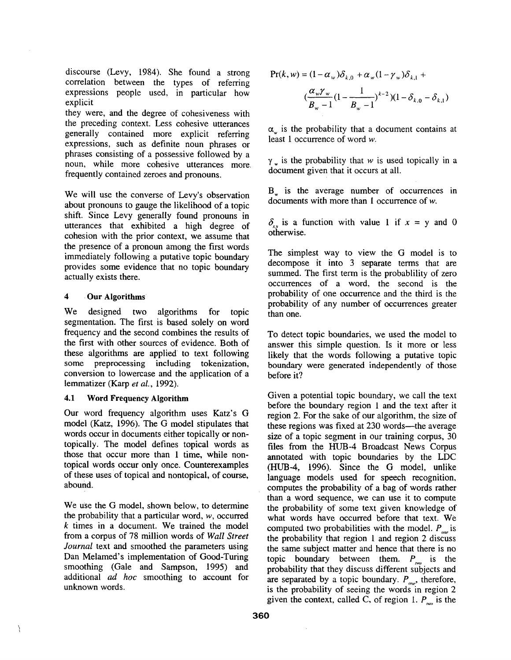discourse (Levy, 1984). She found a strong correlation between the types of referring expressions people used, in particular how explicit

they were, and the degree of cohesiveness with the preceding context. Less cohesive utterances generally contained more explicit referring expressions, such as definite noun phrases or phrases consisting of a possessive followed by a noun, while more cohesive utterances more. frequently contained zeroes and pronouns.

We will use the converse of Levy's observation about pronouns to gauge the likelihood of a topic shift. Since Levy generally found pronouns in utterances that exhibited a high degree of cohesion with the prior context, we assume that the presence of a pronoun among the first words immediately following a putative topic boundary provides some evidence that no topic boundary actually exists there.

# **4 Our Algorithms**

 $\left\{ \right.$ 

We designed two algorithms for topic segmentation. The first is based solely on word frequency and the second combines the results of the first with other sources of evidence. Both of these algorithms are applied to text following some preprocessing including tokenization, conversion to lowercase and the application of a lemmatizer (Karp *et al.,* 1992).

# **4.1 Word Frequency Algorithm**

Our word frequency algorithm uses Katz's G model (Katz, 1996). The G model stipulates that words occur in documents either topically or nontopically. The model defines topical words as those that occur more than 1 time, while nontopical words occur only once. Counterexamples of these uses of topical and nontopical, of course, abound.

We use the G model, shown below, to determine the probability that a particular word,  $w$ , occurred k times in a document. We trained the model from a corpus of 78 million words of *Wall Street Journal* text and smoothed the parameters using Dan Melamed's implementation of Good-Turing smoothing (Gale and Sampson, 1995) and additional *ad hoc* smoothing to account for unknown words.

$$
Pr(k, w) = (1 - \alpha_w)\delta_{k,0} + \alpha_w(1 - \gamma_w)\delta_{k,1} +
$$

$$
(\frac{\alpha_w\gamma_w}{B_w - 1}(1 - \frac{1}{B_w - 1})^{k-2})(1 - \delta_{k,0} - \delta_{k,1})
$$

 $\alpha_{w}$  is the probability that a document contains at least 1 occurrence of word w.

 $\gamma_{w}$  is the probability that w is used topically in a document given that it occurs at all.

 $B_{\nu}$  is the average number of occurrences in documents with more than 1 occurrence of w.

 $\delta_{xx}$  is a function with value 1 if  $x = y$  and 0 otherwise.

The simplest way to view the G model is to decompose it into 3 separate terms that are summed. The first term is the probablility of zero occurrences of a word, the second is the probability of one occurrence and the third is the probability of any number of occurrences greater than one.

To detect topic boundaries, we used the model to answer this simple question. Is it more or less likely that the words following a putative topic boundary were generated independently of those before it?

Given a potential topic boundary, we call the text before the boundary region 1 and the text after it region 2. For the sake of our algorithm, the size of these regions was fixed at 230 words-the average size of a topic segment in our training corpus, 30 files from the HUB-4 Broadcast News Corpus annotated with topic boundaries by the LDC (HUB-4, 1996). Since the G model, unlike language models used for speech recognition, computes the probability of a bag of words rather than a word sequence, we can use it to compute the probability of some text given knowledge of what words have occurred before that text. We computed two probabilities with the model.  $P_{\text{inc}}$  is the probability that region 1 and region 2 discuss the same subject matter and hence that there is no topic boundary between them.  $P_{\text{net}}$  is the probability that they discuss different subjects and are separated by a topic boundary.  $P_{\text{ave}}$ , therefore, is the probability of seeing the words in region 2 given the context, called C, of region 1.  $P_{\text{max}}$  is the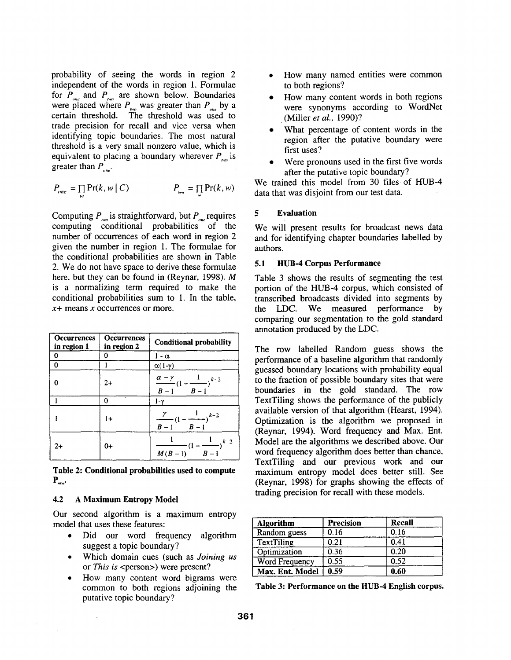probability of seeing the words in region 2 independent of the words in region 1. Formulae for *P .....* and *P,* are shown below. Boundaries were placed where  $P_{\text{max}}$  was greater than  $P_{\text{max}}$  by a certain threshold. The threshold was used to trade precision for recall and vice versa when identifying topic boundaries. The most natural threshold is a very small nonzero value, which is equivalent to placing a boundary wherever  $P_{\text{max}}$  is greater than  $P_{\text{max}}$ .

$$
P_{one} = \prod_{w} \Pr(k, w \mid C) \qquad P_{two} = \prod_{w} \Pr(k, w)
$$

Computing  $P_{\text{avg}}$  is straightforward, but  $P_{\text{avg}}$  requires computing conditional probabilities of the number of occurrences of each word in region 2 given the number in region 1. The formulae for the conditional probabilities are shown in Table 2. We do not have space to derive these formulae here, but they can be found in (Reynar, 1998). M is a normalizing term required to make the conditional probabilities sum to 1. In the table,  $x+$  means x occurrences or more.

| <b>Occurrences</b><br>in region 1 | <b>Occurrences</b><br>in region 2 | <b>Conditional probability</b>                           |
|-----------------------------------|-----------------------------------|----------------------------------------------------------|
| 0                                 | 0                                 | $1 - \alpha$                                             |
| $\bf{0}$                          |                                   | $\alpha(1-\gamma)$                                       |
| ŋ                                 | $2+$                              | $\frac{\alpha-\gamma}{1-\gamma}$<br>$B - 1$<br>$B-1$     |
|                                   | 0                                 | $1-\gamma$                                               |
|                                   | $1+$                              | $\frac{\gamma}{(1-\frac{1}{2})^{k-2}}$<br>$B-1$<br>$B-1$ |
| $2+$                              | $0+$                              | $(1-\frac{1}{2})^{k-2}$<br>$B-1$<br>$M(B-I)$             |

**Table 2: Conditional probabilities used to compute P**<sub>anc</sub>.

### **4.2 A Maximum Entropy Model**

Our second algorithm is a maximum entropy model that uses these features:

- Did our word frequency algorithm suggest a topic boundary?
- Which domain cues (such as *Joining us*  or *This is* <person>) were present?
- How many content word bigrams were common to both regions adjoining the putative topic boundary?
- How many named entities were common to both regions?
- How many content words in both regions were synonyms according to WordNet (Miller *et al.,* 1990)?
- What percentage of content words in the region after the putative boundary were first uses?
- Were pronouns used in the first five words after the putative topic boundary?

We trained this model from 30 files of HUB-4 data that was disjoint from our test data.

### **5 Evaluation**

We will present results for broadcast news data and for identifying chapter boundaries labelled by authors.

#### **5.1 HUB-4 Corpus Performance**

Table 3 shows the results of segmenting the test portion of the HUB-4 corpus, which consisted of transcribed broadcasts divided into segments by the LDC. We measured performance by comparing our segmentation to the gold standard annotation produced by the LDC.

The row labelled Random guess shows the performance of a baseline algorithm that randomly guessed boundary locations with probability equal to the fraction of possible boundary sites that were boundaries in the gold standard. The row TextTiling shows the performance of the publicly available version of that algorithm (Hearst, 1994). Optimization is the algorithm we proposed in (Reynar, 1994). Word frequency and Max. Ent. Model are the algorithms we described above. Our word frequency algorithm does better than chance, TextTiling and our previous work and our maximum entropy model does better still. See (Reynar, 1998) for graphs showing the effects of trading precision for recall with these models.

| <b>Algorithm</b>  | <b>Precision</b> | Recall |
|-------------------|------------------|--------|
| Random guess      | 0.16             | 0.16   |
| <b>TextTiling</b> | 0.21             | 0.41   |
| Optimization      | 0.36             | 0.20   |
| Word Frequency    | 0.55             | 0.52   |
| Max. Ent. Model   | 0.59             | 0.60   |

**Table 3: Performance on the HUB-4 English corpus.**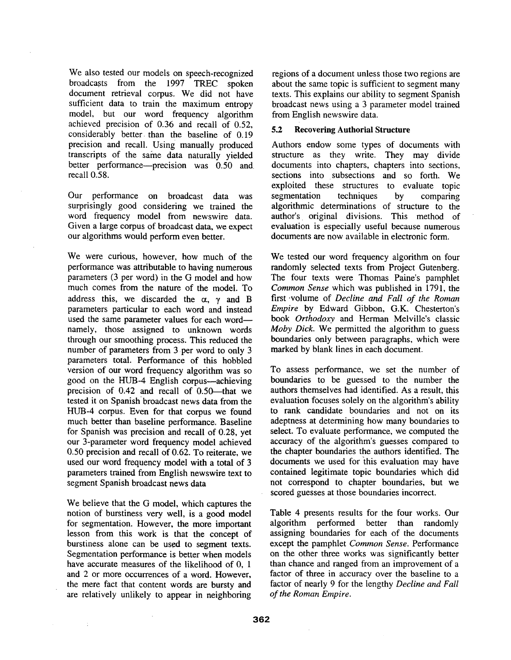We also tested our models on speech-recognized broadcasts from the 1997 TREC spoken document retrieval corpus. We did not have sufficient data to train the maximum entropy model, but our word frequency algorithm achieved precision of 0.36 and recall of 0.52, considerably better, than the baseline of 0.19 precision and recall. Using manually produced transcripts of the same data naturally yielded better performance—precision was 0.50 and. recall 0.58.

Our performance on broadcast data was surprisingly good considering we trained the word frequency model from newswire data. Given a large corpus of broadcast data, we expect our algorithms would perform even better.

We were curious, however, how much of the performance was attributable to having numerous parameters (3 per word) in the G model and how much comes from the nature of the model. To address this, we discarded the  $\alpha$ ,  $\gamma$  and B parameters particular to each word and instead used the same parameter values for each wordnamely, those assigned to unknown words through our smoothing process. This reduced the number of parameters from 3 per word to only 3 parameters total. Performance of this hobbled version of our word frequency algorithm was so good on the HUB-4 English corpus—achieving precision of  $0.42$  and recall of  $0.50$ —that we tested it on Spanish broadcast news data from the HUB-4 corpus. Even for that corpus we found much better than baseline performance. Baseline for Spanish was precision and recall of 0.28, yet our 3-parameter word frequency model achieved 0.50 precision and recall of 0.62. To reiterate, we used our word frequency model with a total of 3 parameters trained from English newswire text to segment Spanish broadcast news data

We believe that the G model, which captures the notion of burstiness very well, is a good model for segmentation. However, the more important lesson from this work is that the concept of burstiness alone can be used to segment texts. Segmentation performance is better when models have accurate measures of the likelihood of 0, 1 and 2 or more occurrences of a word. However, the mere fact that content words are bursty and are relatively unlikely to appear in neighboring

regions of a document unless those two regions are about the same topic is sufficient to segment many texts. This explains our ability to segment Spanish broadcast news using a 3 parameter model trained from English newswire data.

## **5.2 Recovering Authorial Structure**

Authors endow some types of documents with structure as they write. They may divide documents into chapters, chapters into sections, sections into subsections and so forth. We exploited these structures to evaluate topic segmentation techniques by comparing algorithmic determinations of structure to the author's original divisions. This method of evaluation is especially useful because numerous documents are now available in electronic form.

We tested our word frequency algorithm on four randomly selected texts from Project Gutenberg. The four texts were Thomas Paine's pamphlet *Common Sense* which was published in 1791, the first .volume of *Decline and Fall of the Roman Empire* by Edward Gibbon, G.K. Chesterton's book *Orthodoxy.* and Herman Melville's classic *Moby Dick.* We permitted the algorithm to guess boundaries only between paragraphs, which were marked by blank lines in each document.

To assess performance, we set the number of boundaries to be guessed to the number the authors themselves had identified. As a result, this evaluation focuses solely on the algorithm's ability to rank candidate boundaries and not on its adeptness at determining how many boundaries to select. To evaluate performance, we computed the accuracy of the algorithm's guesses compared to the chapter boundaries the authors identified. The documents we used for this evaluation may have contained legitimate topic boundaries which did not correspond to chapter boundaries, but we scored guesses at those boundaries incorrect.

Table 4 presents results for the four works. Our algorithm performed better than randomly assigning boundaries for each of the documents except the pamphlet *Common Sense.* Performance on the other three works was significantly better than chance and ranged from an improvement of a factor of three in accuracy over the baseline to a factor of nearly 9 for the lengthy *Decline and Fall of the Roman Empire.*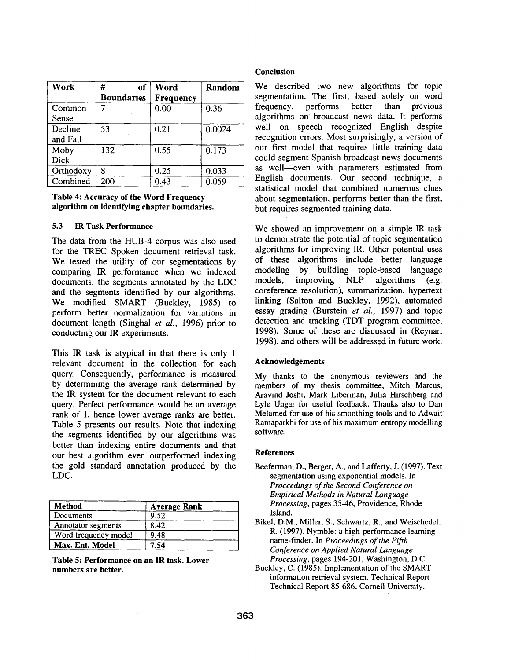| Work                | #<br>of<br><b>Boundaries</b> | Word<br>Frequency | Random |
|---------------------|------------------------------|-------------------|--------|
| Common<br>Sense     |                              | 0.00              | 0.36   |
| Decline<br>and Fall | 53                           | 0.21              | 0.0024 |
| Moby<br>Dick        | 132                          | 0.55              | 0.173  |
| Orthodoxy           | 8                            | 0.25              | 0.033  |
| Combined            | 200                          | 0.43              | 0.059  |

**Table 4: Accuracy of the Word Frequency algorithm on identifying chapter boundaries.** 

### **5.3 IR Task Performance**

The data from the HUB-4 corpus was also used for the TREC Spoken document retrieval task. We tested the utility of our segmentations by comparing IR performance when we indexed documents, the segments annotated by the LDC and the segments identified by our algorithms. We modified SMART (Buckley, 1985) to perform better normalization for variations in document length (Singhal *et al.,* 1996) prior to conducting our IR experiments.

This IR task is atypical in that there is only 1 relevant document in the collection for each query. Consequently, performance is measured by determining the average rank determined by the IR system for the document relevant to each query. Perfect performance would be an average rank of 1, hence lower average ranks are better. Table 5 presents our results. Note that indexing the segments identified by our algorithms was better than indexing entire documents and that our best algorithm even outperformed indexing the gold standard annotation produced by the LDC.

| Method               | <b>Average Rank</b> |
|----------------------|---------------------|
| Documents            | 9.52                |
| Annotator segments   | 8.42                |
| Word frequency model | 9.48                |
| Max. Ent. Model      | 7.54                |

**Table 5: Performance on an IR task. Lower numbers are better.** 

#### **Conclusion**

We described two new algorithms for topic segmentation. The first, based solely on word frequency, performs better than previous algorithms on broadcast news data. It performs well on speech recognized English despite recognition errors. Most surprisingly, a version of our first model that requires little training data could segment Spanish broadcast news documents as well---even with parameters estimated from English documents. Our second technique, a statistical model that combined numerous clues about segmentation, performs better than the first, but requires segmented training data.

We showed an improvement on a simple IR task to demonstrate the potential of topic segmentation algorithms for improving IR. Other potential uses of these algorithms include better language modeling by building topic-based language models, improving NLP algorithms (e.g. coreference resolution), summarization, hypertext linking (Salton and Buckley, 1992), automated essay grading (Burstein *et al.,* 1997) and topic detection and tracking (TDT program committee, 1998). Some of these are discussed in (Reynar, 1998), and others will be addressed in future work.

#### **Acknowledgements**

My thanks to the anonymous reviewers and the members of my thesis committee, Mitch Marcus, Aravind Joshi, Mark Liberman, Julia Hirschberg and Lyle Ungar for useful feedback. Thanks also to Dan Melamed for use of his smoothing tools and to Adwait Ratnaparkhi for use of his maximum entropy modelling software.

#### **References**

- Beeferman, D., Berger, A., and Lafferty, J. (1997). Text segmentation using exponential models. In *Proceedings of the Second Conference on Empirical Methods in Natural Language Processing,* pages 35-46, Providence, Rhode Island.
- Bikel, D.M., Miller, S., Schwartz, R., and Weischedel, R. (1997). Nymble: a high-performance learning name-finder. In *Proceedings of the Fifth Conference on Applied Natural Language Processing,* pages 194-201, Washington, D.C.
- Buckley, C. (1985). Implementation of the SMART information retrieval system. Technical Report Technical Report 85-686, Cornell University.